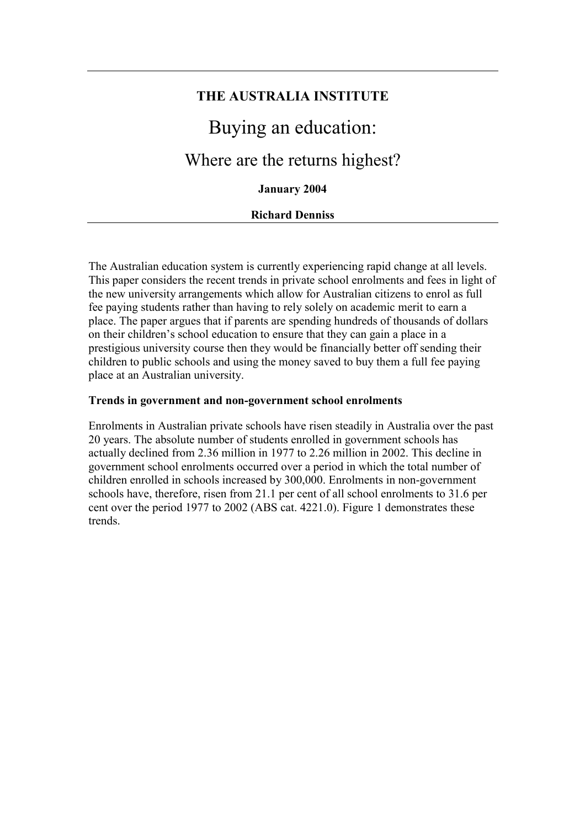# **THE AUSTRALIA INSTITUTE**  Buying an education:

# Where are the returns highest?

# **January 2004**

#### **Richard Denniss**

The Australian education system is currently experiencing rapid change at all levels. This paper considers the recent trends in private school enrolments and fees in light of the new university arrangements which allow for Australian citizens to enrol as full fee paying students rather than having to rely solely on academic merit to earn a place. The paper argues that if parents are spending hundreds of thousands of dollars on their children's school education to ensure that they can gain a place in a prestigious university course then they would be financially better off sending their children to public schools and using the money saved to buy them a full fee paying place at an Australian university.

#### **Trends in government and non-government school enrolments**

Enrolments in Australian private schools have risen steadily in Australia over the past 20 years. The absolute number of students enrolled in government schools has actually declined from 2.36 million in 1977 to 2.26 million in 2002. This decline in government school enrolments occurred over a period in which the total number of children enrolled in schools increased by 300,000. Enrolments in non-government schools have, therefore, risen from 21.1 per cent of all school enrolments to 31.6 per cent over the period 1977 to 2002 (ABS cat. 4221.0). Figure 1 demonstrates these trends.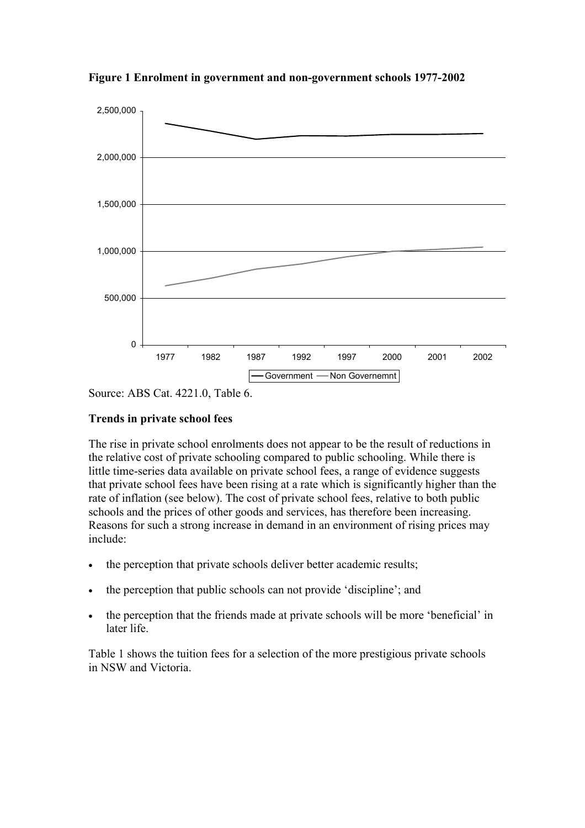

**Figure 1 Enrolment in government and non-government schools 1977-2002** 

Source: ABS Cat. 4221.0, Table 6.

## **Trends in private school fees**

The rise in private school enrolments does not appear to be the result of reductions in the relative cost of private schooling compared to public schooling. While there is little time-series data available on private school fees, a range of evidence suggests that private school fees have been rising at a rate which is significantly higher than the rate of inflation (see below). The cost of private school fees, relative to both public schools and the prices of other goods and services, has therefore been increasing. Reasons for such a strong increase in demand in an environment of rising prices may include:

- the perception that private schools deliver better academic results;
- the perception that public schools can not provide 'discipline'; and
- the perception that the friends made at private schools will be more 'beneficial' in later life.

Table 1 shows the tuition fees for a selection of the more prestigious private schools in NSW and Victoria.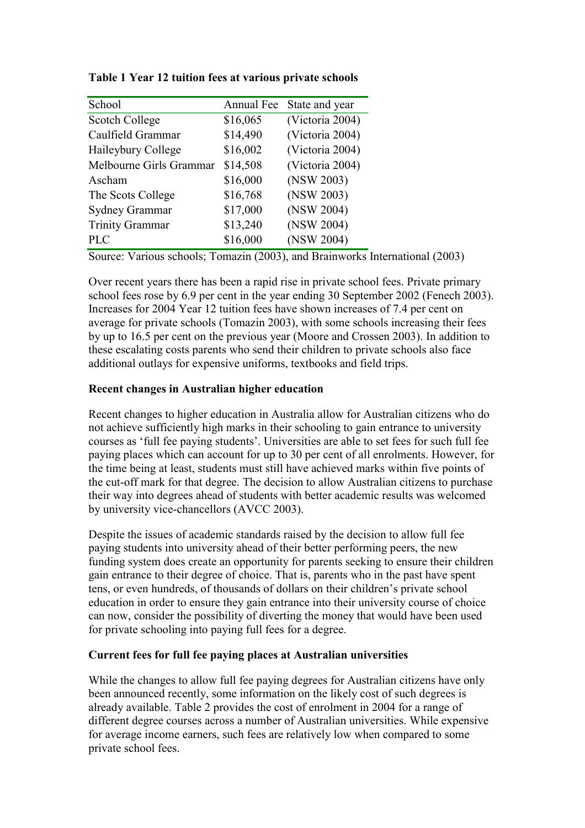| School                  | Annual Fee | State and year  |
|-------------------------|------------|-----------------|
| Scotch College          | \$16,065   | (Victoria 2004) |
| Caulfield Grammar       | \$14,490   | (Victoria 2004) |
| Haileybury College      | \$16,002   | (Victoria 2004) |
| Melbourne Girls Grammar | \$14,508   | (Victoria 2004) |
| Ascham                  | \$16,000   | (NSW 2003)      |
| The Scots College       | \$16,768   | (NSW 2003)      |
| <b>Sydney Grammar</b>   | \$17,000   | (NSW 2004)      |
| <b>Trinity Grammar</b>  | \$13,240   | (NSW 2004)      |
| <b>PLC</b>              | \$16,000   | (NSW 2004)      |

**Table 1 Year 12 tuition fees at various private schools** 

Source: Various schools; Tomazin (2003), and Brainworks International (2003)

Over recent years there has been a rapid rise in private school fees. Private primary school fees rose by 6.9 per cent in the year ending 30 September 2002 (Fenech 2003). Increases for 2004 Year 12 tuition fees have shown increases of 7.4 per cent on average for private schools (Tomazin 2003), with some schools increasing their fees by up to 16.5 per cent on the previous year (Moore and Crossen 2003). In addition to these escalating costs parents who send their children to private schools also face additional outlays for expensive uniforms, textbooks and field trips.

# **Recent changes in Australian higher education**

Recent changes to higher education in Australia allow for Australian citizens who do not achieve sufficiently high marks in their schooling to gain entrance to university courses as 'full fee paying students'. Universities are able to set fees for such full fee paying places which can account for up to 30 per cent of all enrolments. However, for the time being at least, students must still have achieved marks within five points of the cut-off mark for that degree. The decision to allow Australian citizens to purchase their way into degrees ahead of students with better academic results was welcomed by university vice-chancellors (AVCC 2003).

Despite the issues of academic standards raised by the decision to allow full fee paying students into university ahead of their better performing peers, the new funding system does create an opportunity for parents seeking to ensure their children gain entrance to their degree of choice. That is, parents who in the past have spent tens, or even hundreds, of thousands of dollars on their children's private school education in order to ensure they gain entrance into their university course of choice can now, consider the possibility of diverting the money that would have been used for private schooling into paying full fees for a degree.

# **Current fees for full fee paying places at Australian universities**

While the changes to allow full fee paying degrees for Australian citizens have only been announced recently, some information on the likely cost of such degrees is already available. Table 2 provides the cost of enrolment in 2004 for a range of different degree courses across a number of Australian universities. While expensive for average income earners, such fees are relatively low when compared to some private school fees.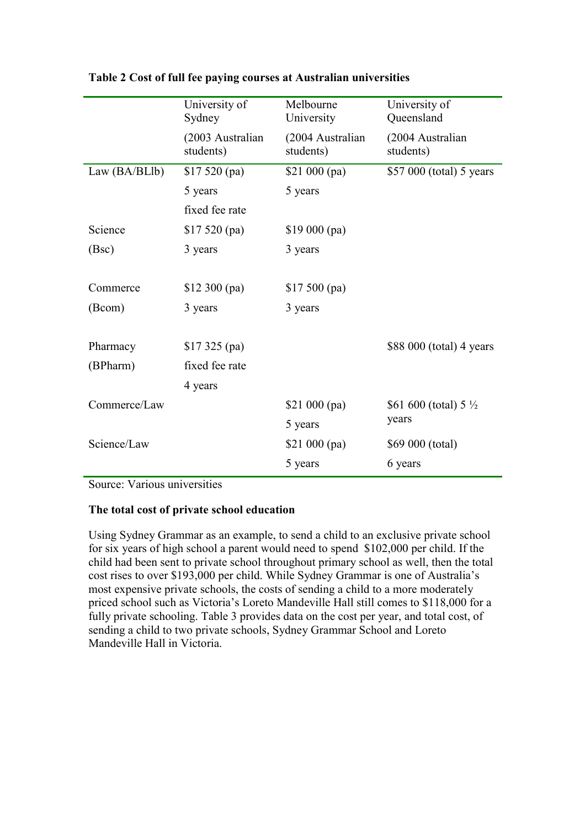|              | University of<br>Sydney       | Melbourne<br>University       | University of<br>Queensland               |
|--------------|-------------------------------|-------------------------------|-------------------------------------------|
|              | (2003 Australian<br>students) | (2004 Australian<br>students) | (2004 Australian<br>students)             |
| Law(BA/BLlb) | \$17520(pa)                   | $$21\,000\,(pa)$              | \$57 000 (total) 5 years                  |
|              | 5 years                       | 5 years                       |                                           |
|              | fixed fee rate                |                               |                                           |
| Science      | \$17520(pa)                   | $$19\,000\,(pa)$              |                                           |
| (Bsc)        | 3 years                       | 3 years                       |                                           |
|              |                               |                               |                                           |
| Commerce     | $$12\,300\,(pa)$              | $$17,500$ (pa)                |                                           |
| (Bcom)       | 3 years                       | 3 years                       |                                           |
|              |                               |                               |                                           |
| Pharmacy     | $$17\,325$ (pa)               |                               | \$88 000 (total) 4 years                  |
| (BPharm)     | fixed fee rate                |                               |                                           |
|              | 4 years                       |                               |                                           |
| Commerce/Law |                               | $$21\ 000\ (pa)$              | \$61 600 (total) 5 $\frac{1}{2}$<br>years |
|              |                               | 5 years                       |                                           |
| Science/Law  |                               | \$21 000 (pa)                 | \$69 000 (total)                          |
|              |                               | 5 years                       | 6 years                                   |

#### **Table 2 Cost of full fee paying courses at Australian universities**

Source: Various universities

# **The total cost of private school education**

Using Sydney Grammar as an example, to send a child to an exclusive private school for six years of high school a parent would need to spend \$102,000 per child. If the child had been sent to private school throughout primary school as well, then the total cost rises to over \$193,000 per child. While Sydney Grammar is one of Australia's most expensive private schools, the costs of sending a child to a more moderately priced school such as Victoria's Loreto Mandeville Hall still comes to \$118,000 for a fully private schooling. Table 3 provides data on the cost per year, and total cost, of sending a child to two private schools, Sydney Grammar School and Loreto Mandeville Hall in Victoria.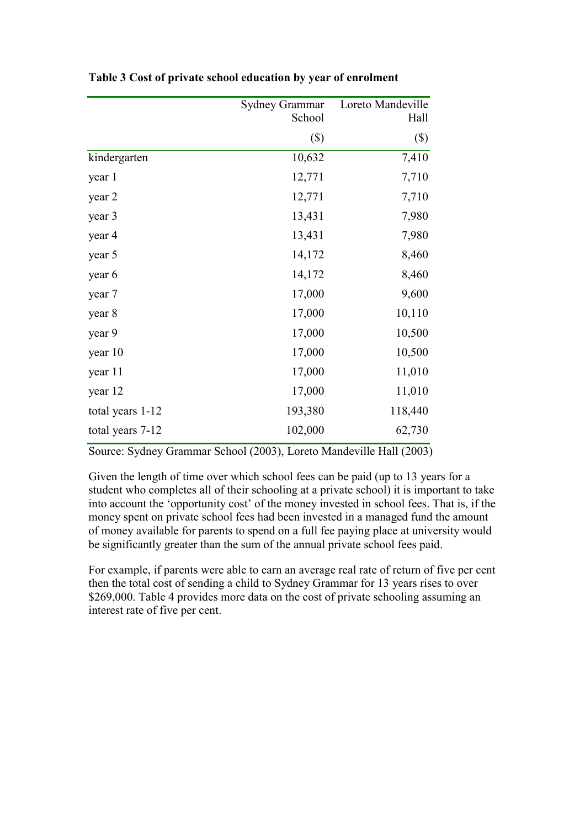|                  | Sydney Grammar | Loreto Mandeville |
|------------------|----------------|-------------------|
|                  | School         | Hall              |
|                  | $(\$\)$        | $(\$\)$           |
| kindergarten     | 10,632         | 7,410             |
| year 1           | 12,771         | 7,710             |
| year 2           | 12,771         | 7,710             |
| year 3           | 13,431         | 7,980             |
| year 4           | 13,431         | 7,980             |
| year 5           | 14,172         | 8,460             |
| year 6           | 14,172         | 8,460             |
| year 7           | 17,000         | 9,600             |
| year 8           | 17,000         | 10,110            |
| year 9           | 17,000         | 10,500            |
| year 10          | 17,000         | 10,500            |
| year 11          | 17,000         | 11,010            |
| year 12          | 17,000         | 11,010            |
| total years 1-12 | 193,380        | 118,440           |
| total years 7-12 | 102,000        | 62,730            |

**Table 3 Cost of private school education by year of enrolment** 

Source: Sydney Grammar School (2003), Loreto Mandeville Hall (2003)

Given the length of time over which school fees can be paid (up to 13 years for a student who completes all of their schooling at a private school) it is important to take into account the 'opportunity cost' of the money invested in school fees. That is, if the money spent on private school fees had been invested in a managed fund the amount of money available for parents to spend on a full fee paying place at university would be significantly greater than the sum of the annual private school fees paid.

For example, if parents were able to earn an average real rate of return of five per cent then the total cost of sending a child to Sydney Grammar for 13 years rises to over \$269,000. Table 4 provides more data on the cost of private schooling assuming an interest rate of five per cent.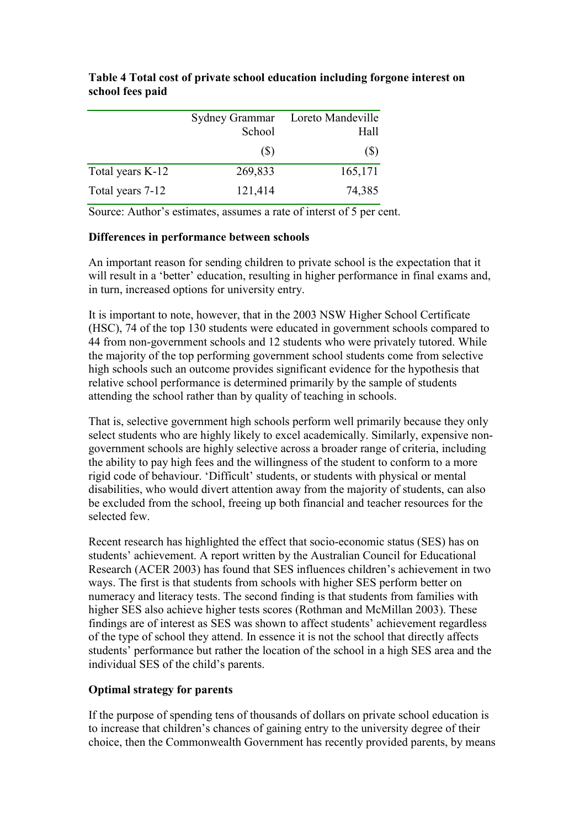|                  | Sydney Grammar<br>School | Loreto Mandeville<br>Hall |
|------------------|--------------------------|---------------------------|
|                  | (S)                      | $(\$\)$                   |
| Total years K-12 | 269,833                  | 165,171                   |
| Total years 7-12 | 121,414                  | 74,385                    |

**Table 4 Total cost of private school education including forgone interest on school fees paid** 

Source: Author's estimates, assumes a rate of interst of 5 per cent.

#### **Differences in performance between schools**

An important reason for sending children to private school is the expectation that it will result in a 'better' education, resulting in higher performance in final exams and, in turn, increased options for university entry.

It is important to note, however, that in the 2003 NSW Higher School Certificate (HSC), 74 of the top 130 students were educated in government schools compared to 44 from non-government schools and 12 students who were privately tutored. While the majority of the top performing government school students come from selective high schools such an outcome provides significant evidence for the hypothesis that relative school performance is determined primarily by the sample of students attending the school rather than by quality of teaching in schools.

That is, selective government high schools perform well primarily because they only select students who are highly likely to excel academically. Similarly, expensive nongovernment schools are highly selective across a broader range of criteria, including the ability to pay high fees and the willingness of the student to conform to a more rigid code of behaviour. 'Difficult' students, or students with physical or mental disabilities, who would divert attention away from the majority of students, can also be excluded from the school, freeing up both financial and teacher resources for the selected few.

Recent research has highlighted the effect that socio-economic status (SES) has on students' achievement. A report written by the Australian Council for Educational Research (ACER 2003) has found that SES influences children's achievement in two ways. The first is that students from schools with higher SES perform better on numeracy and literacy tests. The second finding is that students from families with higher SES also achieve higher tests scores (Rothman and McMillan 2003). These findings are of interest as SES was shown to affect students' achievement regardless of the type of school they attend. In essence it is not the school that directly affects students' performance but rather the location of the school in a high SES area and the individual SES of the child's parents.

# **Optimal strategy for parents**

If the purpose of spending tens of thousands of dollars on private school education is to increase that children's chances of gaining entry to the university degree of their choice, then the Commonwealth Government has recently provided parents, by means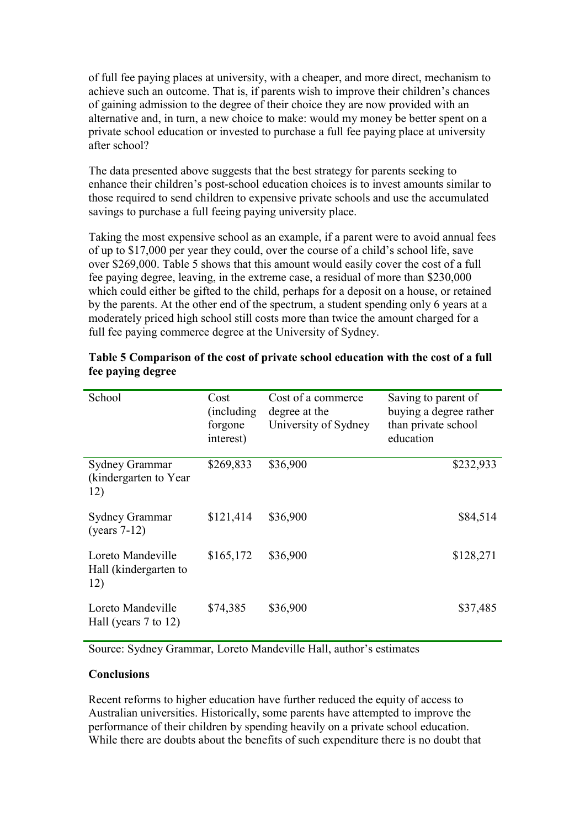of full fee paying places at university, with a cheaper, and more direct, mechanism to achieve such an outcome. That is, if parents wish to improve their children's chances of gaining admission to the degree of their choice they are now provided with an alternative and, in turn, a new choice to make: would my money be better spent on a private school education or invested to purchase a full fee paying place at university after school?

The data presented above suggests that the best strategy for parents seeking to enhance their children's post-school education choices is to invest amounts similar to those required to send children to expensive private schools and use the accumulated savings to purchase a full feeing paying university place.

Taking the most expensive school as an example, if a parent were to avoid annual fees of up to \$17,000 per year they could, over the course of a child's school life, save over \$269,000. Table 5 shows that this amount would easily cover the cost of a full fee paying degree, leaving, in the extreme case, a residual of more than \$230,000 which could either be gifted to the child, perhaps for a deposit on a house, or retained by the parents. At the other end of the spectrum, a student spending only 6 years at a moderately priced high school still costs more than twice the amount charged for a full fee paying commerce degree at the University of Sydney.

| School                                            | Cost<br>(including)<br>forgone<br>interest) | Cost of a commerce<br>degree at the<br>University of Sydney | Saving to parent of<br>buying a degree rather<br>than private school<br>education |
|---------------------------------------------------|---------------------------------------------|-------------------------------------------------------------|-----------------------------------------------------------------------------------|
| Sydney Grammar<br>(kindergarten to Year)<br>12)   | \$269,833                                   | \$36,900                                                    | \$232,933                                                                         |
| Sydney Grammar<br>(years $7-12$ )                 | \$121,414                                   | \$36,900                                                    | \$84,514                                                                          |
| Loreto Mandeville<br>Hall (kindergarten to<br>12) | \$165,172                                   | \$36,900                                                    | \$128,271                                                                         |
| Loreto Mandeville<br>Hall (years $7$ to 12)       | \$74,385                                    | \$36,900                                                    | \$37,485                                                                          |

## **Table 5 Comparison of the cost of private school education with the cost of a full fee paying degree**

Source: Sydney Grammar, Loreto Mandeville Hall, author's estimates

#### **Conclusions**

Recent reforms to higher education have further reduced the equity of access to Australian universities. Historically, some parents have attempted to improve the performance of their children by spending heavily on a private school education. While there are doubts about the benefits of such expenditure there is no doubt that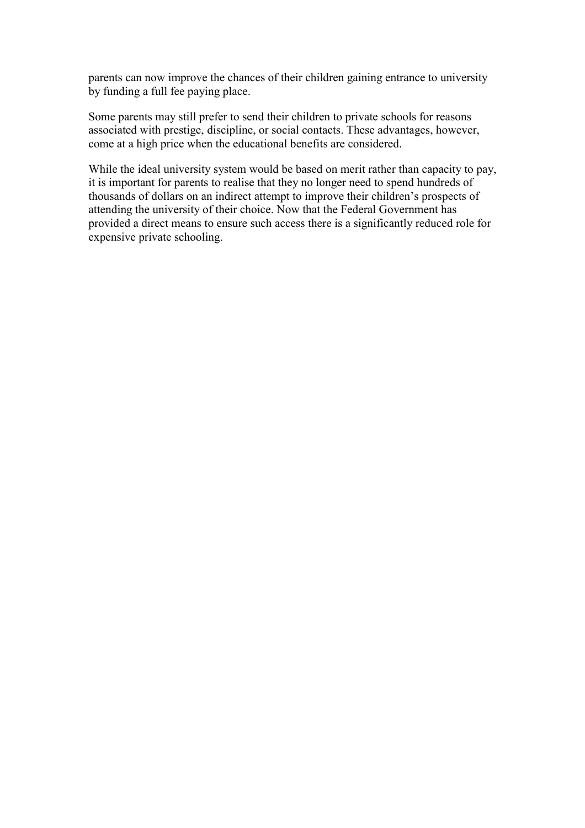parents can now improve the chances of their children gaining entrance to university by funding a full fee paying place.

Some parents may still prefer to send their children to private schools for reasons associated with prestige, discipline, or social contacts. These advantages, however, come at a high price when the educational benefits are considered.

While the ideal university system would be based on merit rather than capacity to pay, it is important for parents to realise that they no longer need to spend hundreds of thousands of dollars on an indirect attempt to improve their children's prospects of attending the university of their choice. Now that the Federal Government has provided a direct means to ensure such access there is a significantly reduced role for expensive private schooling.